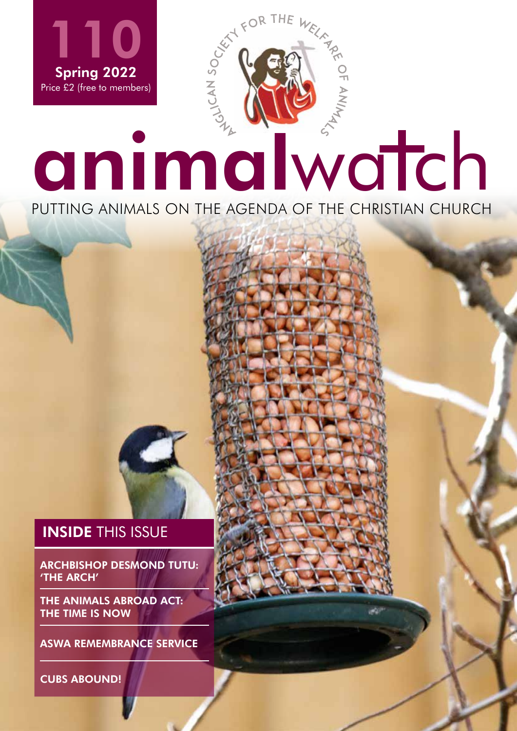

PUTTING ANIMALS ON THE AGENDA OF THE CHRISTIAN CHURCH

ASWA.ORG.UK | 1

### **INSIDE THIS ISSUE**

ARCHBISHOP DESMOND TUTU: 'THE ARCH'

THE ANIMALS ABROAD ACT: THE TIME IS NOW

ASWA REMEMBRANCE SERVICE

CUBS ABOUND!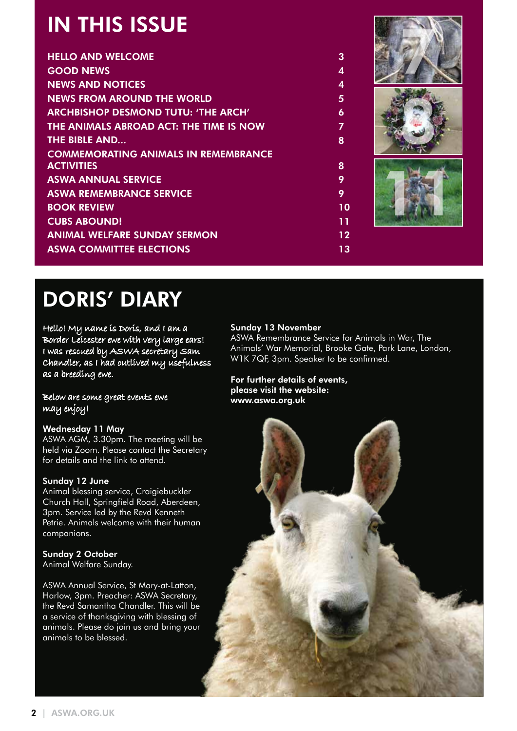## IN THIS ISSUE

| IN THE BOUL                                 |                  |  |
|---------------------------------------------|------------------|--|
| <b>HELLO AND WELCOME</b>                    | 3                |  |
| <b>GOOD NEWS</b>                            | $\overline{4}$   |  |
| <b>NEWS AND NOTICES</b>                     | $\overline{4}$   |  |
| <b>NEWS FROM AROUND THE WORLD</b>           | $\overline{5}$   |  |
| <b>ARCHBISHOP DESMOND TUTU: 'THE ARCH'</b>  | $\boldsymbol{6}$ |  |
| THE ANIMALS ABROAD ACT: THE TIME IS NOW     | $\overline{7}$   |  |
| <b>THE BIBLE AND</b>                        | 8                |  |
| <b>COMMEMORATING ANIMALS IN REMEMBRANCE</b> |                  |  |
| <b>ACTIVITIES</b>                           | 8                |  |
| <b>ASWA ANNUAL SERVICE</b>                  | 9                |  |
| <b>ASWA REMEMBRANCE SERVICE</b>             | 9                |  |
| <b>BOOK REVIEW</b>                          | 10               |  |
| <b>CUBS ABOUND!</b>                         | 11               |  |
| <b>ANIMAL WELFARE SUNDAY SERMON</b>         | $12 \,$          |  |
| <b>ASWA COMMITTEE ELECTIONS</b>             | 13               |  |
|                                             |                  |  |

## DORIS' DIARY

Hello! My name is Doris, and I am a Border Leicester ewe with very large ears! I was rescued by ASWA secretary Sam Chandler, as I had outlived my usefulness as a breeding ewe.

Below are some great events ewe may enjoy!

### Wednesday 11 May

ASWA AGM, 3.30pm. The meeting will be held via Zoom. Please contact the Secretary for details and the link to attend.

### Sunday 12 June

Animal blessing service, Craigiebuckler Church Hall, Springfield Road, Aberdeen, 3pm. Service led by the Revd Kenneth Petrie. Animals welcome with their human companions.

### Sunday 2 October

Animal Welfare Sunday.

ASWA Annual Service, St Mary-at-Latton, Harlow, 3pm. Preacher: ASWA Secretary, the Revd Samantha Chandler. This will be a service of thanksgiving with blessing of animals. Please do join us and bring your animals to be blessed.

### Sunday 13 November

ASWA Remembrance Service for Animals in War, The Animals' War Memorial, Brooke Gate, Park Lane, London, W1K 7QF, 3pm. Speaker to be confirmed.

### For further details of events, please visit the website: www.aswa.org.uk

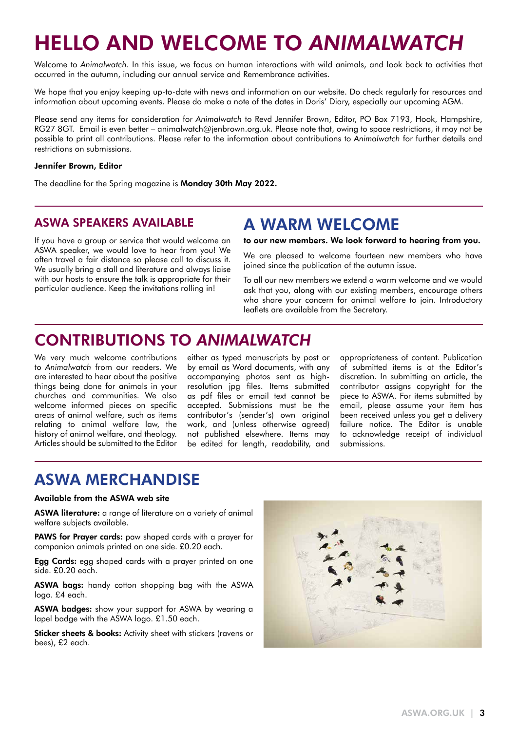## HELLO AND WELCOME TO *ANIMALWATCH*

Welcome to *Animalwatch*. In this issue, we focus on human interactions with wild animals, and look back to activities that occurred in the autumn, including our annual service and Remembrance activities.

We hope that you enjoy keeping up-to-date with news and information on our website. Do check regularly for resources and information about upcoming events. Please do make a note of the dates in Doris' Diary, especially our upcoming AGM.

Please send any items for consideration for *Animalwatch* to Revd Jennifer Brown, Editor, PO Box 7193, Hook, Hampshire, RG27 8GT. Email is even better – animalwatch@jenbrown.org.uk. Please note that, owing to space restrictions, it may not be possible to print all contributions. Please refer to the information about contributions to *Animalwatch* for further details and restrictions on submissions.

#### Jennifer Brown, Editor

The deadline for the Spring magazine is Monday 30th May 2022.

### ASWA SPEAKERS AVAILABLE

If you have a group or service that would welcome an ASWA speaker, we would love to hear from you! We often travel a fair distance so please call to discuss it. We usually bring a stall and literature and always liaise with our hosts to ensure the talk is appropriate for their particular audience. Keep the invitations rolling in!

### A WARM WELCOME

to our new members. We look forward to hearing from you.

We are pleased to welcome fourteen new members who have joined since the publication of the autumn issue.

To all our new members we extend a warm welcome and we would ask that you, along with our existing members, encourage others who share your concern for animal welfare to join. Introductory leaflets are available from the Secretary.

### CONTRIBUTIONS TO *ANIMALWATCH*

We very much welcome contributions to *Animalwatch* from our readers. We are interested to hear about the positive things being done for animals in your churches and communities. We also welcome informed pieces on specific areas of animal welfare, such as items relating to animal welfare law, the history of animal welfare, and theology. Articles should be submitted to the Editor

either as typed manuscripts by post or by email as Word documents, with any accompanying photos sent as highresolution jpg files. Items submitted as pdf files or email text cannot be accepted. Submissions must be the contributor's (sender's) own original work, and (unless otherwise agreed) not published elsewhere. Items may be edited for length, readability, and

appropriateness of content. Publication of submitted items is at the Editor's discretion. In submitting an article, the contributor assigns copyright for the piece to ASWA. For items submitted by email, please assume your item has been received unless you get a delivery failure notice. The Editor is unable to acknowledge receipt of individual submissions.

### ASWA MERCHANDISE

#### Available from the ASWA web site

ASWA literature: a range of literature on a variety of animal welfare subjects available.

PAWS for Prayer cards: paw shaped cards with a prayer for companion animals printed on one side. £0.20 each.

**Egg Cards:** egg shaped cards with a prayer printed on one side. £0.20 each.

ASWA baas: handy cotton shopping bag with the ASWA logo. £4 each.

**ASWA badges:** show your support for ASWA by wearing a lapel badge with the ASWA logo. £1.50 each.

Sticker sheets & books: Activity sheet with stickers (ravens or bees), £2 each.

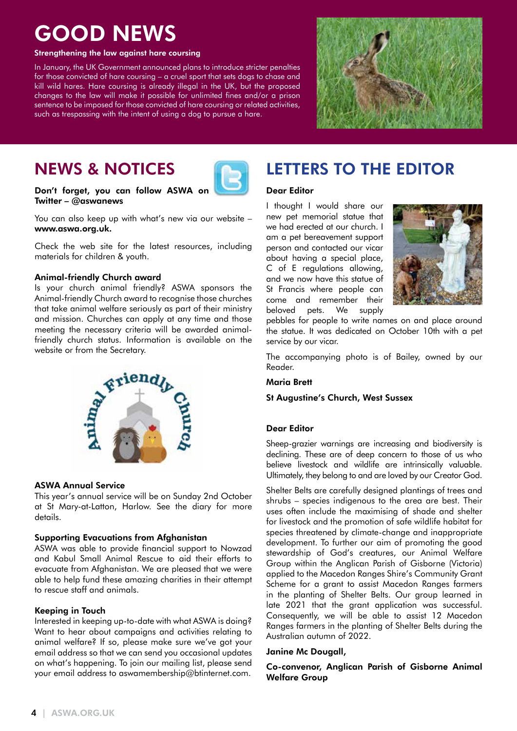## GOOD NEWS

#### Strengthening the law against hare coursing

In January, the UK Government announced plans to introduce stricter penalties for those convicted of hare coursing – a cruel sport that sets dogs to chase and kill wild hares. Hare coursing is already illegal in the UK, but the proposed changes to the law will make it possible for unlimited fines and/or a prison sentence to be imposed for those convicted of hare coursing or related activities, such as trespassing with the intent of using a dog to pursue a hare.



## NEWS & NOTICES



### Don't forget, you can follow ASWA on Twitter – @aswanews

You can also keep up with what's new via our website – www.aswa.org.uk.

Check the web site for the latest resources, including materials for children & youth.

#### Animal-friendly Church award

Is your church animal friendly? ASWA sponsors the Animal-friendly Church award to recognise those churches that take animal welfare seriously as part of their ministry and mission. Churches can apply at any time and those meeting the necessary criteria will be awarded animalfriendly church status. Information is available on the website or from the Secretary.



### ASWA Annual Service

This year's annual service will be on Sunday 2nd October at St Mary-at-Latton, Harlow. See the diary for more details.

### Supporting Evacuations from Afghanistan

ASWA was able to provide financial support to Nowzad and Kabul Small Animal Rescue to aid their efforts to evacuate from Afghanistan. We are pleased that we were able to help fund these amazing charities in their attempt to rescue staff and animals.

### Keeping in Touch

Interested in keeping up-to-date with what ASWA is doing? Want to hear about campaigns and activities relating to animal welfare? If so, please make sure we've got your email address so that we can send you occasional updates on what's happening. To join our mailing list, please send your email address to aswamembership@btinternet.com.

### LETTERS TO THE EDITOR

### Dear Editor

I thought I would share our new pet memorial statue that we had erected at our church. I am a pet bereavement support person and contacted our vicar about having a special place, C of E regulations allowing, and we now have this statue of St Francis where people can come and remember their beloved pets. We supply



pebbles for people to write names on and place around the statue. It was dedicated on October 10th with a pet service by our vicar.

The accompanying photo is of Bailey, owned by our Reader.

#### Maria Brett

### St Augustine's Church, West Sussex

### Dear Editor

Sheep-grazier warnings are increasing and biodiversity is declining. These are of deep concern to those of us who believe livestock and wildlife are intrinsically valuable. Ultimately, they belong to and are loved by our Creator God.

Shelter Belts are carefully designed plantings of trees and shrubs – species indigenous to the area are best. Their uses often include the maximising of shade and shelter for livestock and the promotion of safe wildlife habitat for species threatened by climate-change and inappropriate development. To further our aim of promoting the good stewardship of God's creatures, our Animal Welfare Group within the Anglican Parish of Gisborne (Victoria) applied to the Macedon Ranges Shire's Community Grant Scheme for a grant to assist Macedon Ranges farmers in the planting of Shelter Belts. Our group learned in late 2021 that the grant application was successful. Consequently, we will be able to assist 12 Macedon Ranges farmers in the planting of Shelter Belts during the Australian autumn of 2022.

#### Janine Mc Dougall,

Co-convenor, Anglican Parish of Gisborne Animal Welfare Group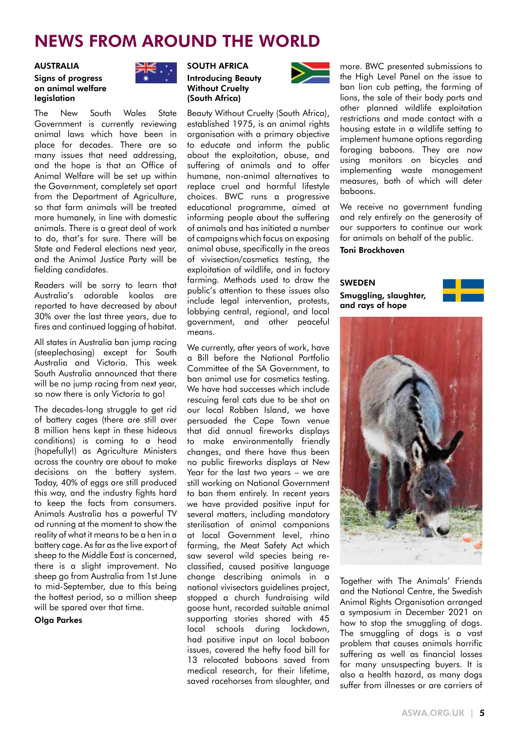## NEWS FROM AROUND THE WORLD

#### AUSTRALIA

#### Signs of progress on animal welfare legislation



The New South Wales State Government is currently reviewing animal laws which have been in place for decades. There are so many issues that need addressing, and the hope is that an Office of Animal Welfare will be set up within the Government, completely set apart from the Department of Agriculture, so that farm animals will be treated more humanely, in line with domestic animals. There is a great deal of work to do, that's for sure. There will be State and Federal elections next year, and the Animal Justice Party will be fielding candidates.

Readers will be sorry to learn that Australia's adorable koalas are reported to have decreased by about 30% over the last three years, due to fires and continued logging of habitat.

All states in Australia ban jump racing (steeplechasing) except for South Australia and Victoria. This week South Australia announced that there will be no jump racing from next year, so now there is only Victoria to go!

The decades-long struggle to get rid of battery cages (there are still over 8 million hens kept in these hideous conditions) is coming to a head (hopefully!) as Agriculture Ministers across the country are about to make decisions on the battery system. Today, 40% of eggs are still produced this way, and the industry fights hard to keep the facts from consumers. Animals Australia has a powerful TV ad running at the moment to show the reality of what it means to be a hen in a battery cage. As far as the live export of sheep to the Middle East is concerned, there is a slight improvement. No sheep go from Australia from 1st June to mid-September, due to this being the hottest period, so a million sheep will be spared over that time.

Olga Parkes



### Introducing Beauty Without Cruelty (South Africa)

Beauty Without Cruelty (South Africa), established 1975, is an animal rights organisation with a primary objective to educate and inform the public about the exploitation, abuse, and suffering of animals and to offer humane, non-animal alternatives to replace cruel and harmful lifestyle choices. BWC runs a progressive educational programme, aimed at informing people about the suffering of animals and has initiated a number of campaigns which focus on exposing animal abuse, specifically in the areas of vivisection/cosmetics testing, the exploitation of wildlife, and in factory farming. Methods used to draw the public's attention to these issues also include legal intervention, protests, lobbying central, regional, and local government, and other peaceful means.

We currently, after years of work, have a Bill before the National Portfolio Committee of the SA Government, to ban animal use for cosmetics testing. We have had successes which include rescuing feral cats due to be shot on our local Robben Island, we have persuaded the Cape Town venue that did annual fireworks displays to make environmentally friendly changes, and there have thus been no public fireworks displays at New Year for the last two years – we are still working on National Government to ban them entirely. In recent years we have provided positive input for several matters, including mandatory sterilisation of animal companions at local Government level, rhino farming, the Meat Safety Act which saw several wild species being reclassified, caused positive language change describing animals in a national vivisectors guidelines project, stopped a church fundraising wild goose hunt, recorded suitable animal supporting stories shared with 45 local schools during lockdown, had positive input on local baboon issues, covered the hefty food bill for 13 relocated baboons saved from medical research, for their lifetime, saved racehorses from slaughter, and



more. BWC presented submissions to the High Level Panel on the issue to ban lion cub petting, the farming of lions, the sale of their body parts and other planned wildlife exploitation restrictions and made contact with a housing estate in a wildlife setting to implement humane options regarding foraging baboons. They are now using monitors on bicycles and implementing waste management measures, both of which will deter baboons.

We receive no government funding and rely entirely on the generosity of our supporters to continue our work for animals on behalf of the public. Toni Brockhoven

SWEDEN Smuggling, slaughter, and rays of hope





Together with The Animals' Friends and the National Centre, the Swedish Animal Rights Organisation arranged a symposium in December 2021 on how to stop the smuggling of dogs. The smuggling of dogs is a vast problem that causes animals horrific suffering as well as financial losses for many unsuspecting buyers. It is also a health hazard, as many dogs suffer from illnesses or are carriers of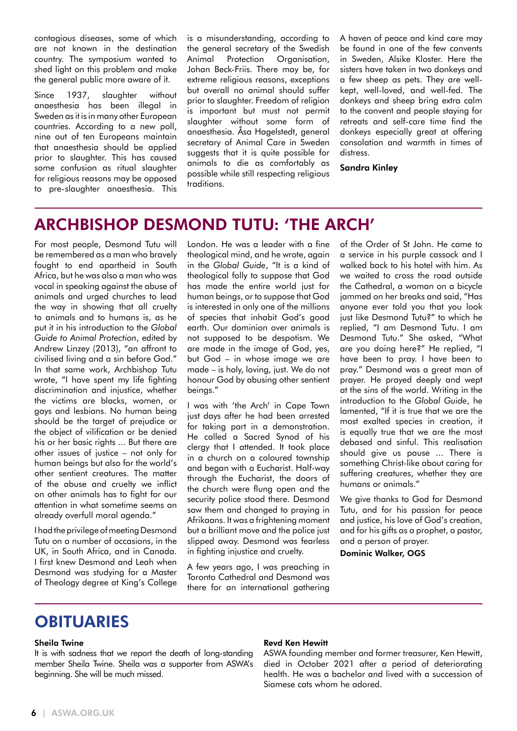contagious diseases, some of which are not known in the destination country. The symposium wanted to shed light on this problem and make the general public more aware of it.

Since 1937, slaughter without anaesthesia has been illegal in Sweden as it is in many other European countries. According to a new poll, nine out of ten Europeans maintain that anaesthesia should be applied prior to slaughter. This has caused some confusion as ritual slaughter for religious reasons may be opposed to pre-slaughter anaesthesia. This is a misunderstanding, according to the general secretary of the Swedish Animal Protection Organisation, Johan Beck-Friis. There may be, for extreme religious reasons, exceptions but overall no animal should suffer prior to slaughter. Freedom of religion is important but must not permit slaughter without some form of anaesthesia. Åsa Hagelstedt, general secretary of Animal Care in Sweden suggests that it is quite possible for animals to die as comfortably as possible while still respecting religious traditions.

A haven of peace and kind care may be found in one of the few convents in Sweden, Alsike Kloster. Here the sisters have taken in two donkeys and a few sheep as pets. They are wellkept, well-loved, and well-fed. The donkeys and sheep bring extra calm to the convent and people staying for retreats and self-care time find the donkeys especially great at offering consolation and warmth in times of distress.

Sandra Kinley

### ARCHBISHOP DESMOND TUTU: 'THE ARCH'

For most people, Desmond Tutu will be remembered as a man who bravely fought to end apartheid in South Africa, but he was also a man who was vocal in speaking against the abuse of animals and urged churches to lead the way in showing that all cruelty to animals and to humans is, as he put it in his introduction to the *Global Guide to Animal Protection*, edited by Andrew Linzey (2013), "an affront to civilised living and a sin before God." In that same work, Archbishop Tutu wrote, "I have spent my life fighting discrimination and injustice, whether the victims are blacks, women, or gays and lesbians. No human being should be the target of prejudice or the object of vilification or be denied his or her basic rights ... But there are other issues of justice – not only for human beings but also for the world's other sentient creatures. The matter of the abuse and cruelty we inflict on other animals has to fight for our attention in what sometime seems an already overfull moral agenda."

I had the privilege of meeting Desmond Tutu on a number of occasions, in the UK, in South Africa, and in Canada. I first knew Desmond and Leah when Desmond was studying for a Master of Theology degree at King's College London. He was a leader with a fine theological mind, and he wrote, again in the *Global Guide*, "It is a kind of theological folly to suppose that God has made the entire world just for human beings, or to suppose that God is interested in only one of the millions of species that inhabit God's good earth. Our dominion over animals is not supposed to be despotism. We are made in the image of God, yes, but God – in whose image we are made – is holy, loving, just. We do not honour God by abusing other sentient beings."

I was with 'the Arch' in Cape Town just days after he had been arrested for taking part in a demonstration. He called a Sacred Synod of his clergy that I attended. It took place in a church on a coloured township and began with a Eucharist. Half-way through the Eucharist, the doors of the church were flung open and the security police stood there. Desmond saw them and changed to praying in Afrikaans. It was a frightening moment but a brilliant move and the police just slipped away. Desmond was fearless in fighting injustice and cruelty.

A few years ago, I was preaching in Toronto Cathedral and Desmond was there for an international gathering of the Order of St John. He came to a service in his purple cassock and I walked back to his hotel with him. As we waited to cross the road outside the Cathedral, a woman on a bicycle jammed on her breaks and said, "Has anyone ever told you that you look just like Desmond Tutu?" to which he replied, "I am Desmond Tutu. I am Desmond Tutu." She asked, "What are you doing here?" He replied, "I have been to pray. I have been to pray." Desmond was a great man of prayer. He prayed deeply and wept at the sins of the world. Writing in the introduction to the *Global Guide*, he lamented, "If it is true that we are the most exalted species in creation, it is equally true that we are the most debased and sinful. This realisation should give us pause ... There is something Christ-like about caring for suffering creatures, whether they are humans or animals."

We give thanks to God for Desmond Tutu, and for his passion for peace and justice, his love of God's creation, and for his gifts as a prophet, a pastor, and a person of prayer.

Dominic Walker, OGS

### OBITUARIES

#### Sheila Twine

It is with sadness that we report the death of long-standing member Sheila Twine. Sheila was a supporter from ASWA's beginning. She will be much missed.

#### Revd Ken Hewitt

ASWA founding member and former treasurer, Ken Hewitt, died in October 2021 after a period of deteriorating health. He was a bachelor and lived with a succession of Siamese cats whom he adored.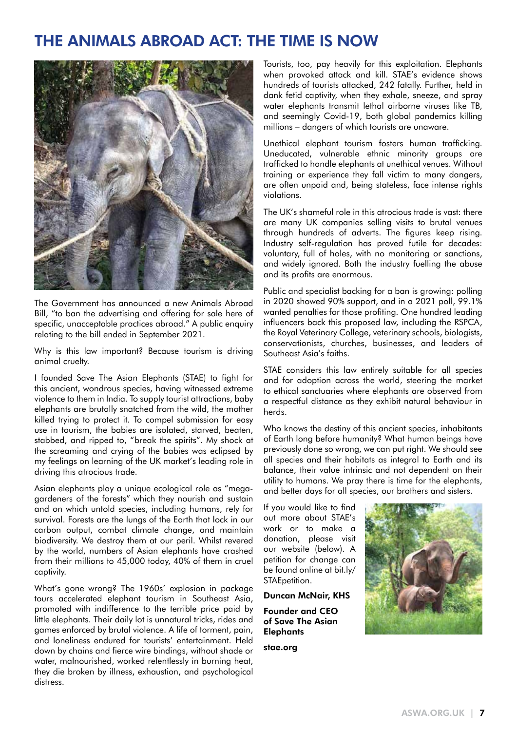### THE ANIMALS ABROAD ACT: THE TIME IS NOW



The Government has announced a new Animals Abroad Bill, "to ban the advertising and offering for sale here of specific, unacceptable practices abroad." A public enquiry relating to the bill ended in September 2021.

Why is this law important? Because tourism is driving animal cruelty.

I founded Save The Asian Elephants (STAE) to fight for this ancient, wondrous species, having witnessed extreme violence to them in India. To supply tourist attractions, baby elephants are brutally snatched from the wild, the mother killed trying to protect it. To compel submission for easy use in tourism, the babies are isolated, starved, beaten, stabbed, and ripped to, "break the spirits". My shock at the screaming and crying of the babies was eclipsed by my feelings on learning of the UK market's leading role in driving this atrocious trade.

Asian elephants play a unique ecological role as "megagardeners of the forests" which they nourish and sustain and on which untold species, including humans, rely for survival. Forests are the lungs of the Earth that lock in our carbon output, combat climate change, and maintain biodiversity. We destroy them at our peril. Whilst revered by the world, numbers of Asian elephants have crashed from their millions to 45,000 today, 40% of them in cruel captivity.

What's gone wrong? The 1960s' explosion in package tours accelerated elephant tourism in Southeast Asia, promoted with indifference to the terrible price paid by little elephants. Their daily lot is unnatural tricks, rides and games enforced by brutal violence. A life of torment, pain, and loneliness endured for tourists' entertainment. Held down by chains and fierce wire bindings, without shade or water, malnourished, worked relentlessly in burning heat, they die broken by illness, exhaustion, and psychological distress.

Tourists, too, pay heavily for this exploitation. Elephants when provoked attack and kill. STAE's evidence shows hundreds of tourists attacked, 242 fatally. Further, held in dank fetid captivity, when they exhale, sneeze, and spray water elephants transmit lethal airborne viruses like TB, and seemingly Covid-19, both global pandemics killing millions – dangers of which tourists are unaware.

Unethical elephant tourism fosters human trafficking. Uneducated, vulnerable ethnic minority groups are trafficked to handle elephants at unethical venues. Without training or experience they fall victim to many dangers, are often unpaid and, being stateless, face intense rights violations.

The UK's shameful role in this atrocious trade is vast: there are many UK companies selling visits to brutal venues through hundreds of adverts. The figures keep rising. Industry self-regulation has proved futile for decades: voluntary, full of holes, with no monitoring or sanctions, and widely ignored. Both the industry fuelling the abuse and its profits are enormous.

Public and specialist backing for a ban is growing: polling in 2020 showed 90% support, and in a 2021 poll, 99.1% wanted penalties for those profiting. One hundred leading influencers back this proposed law, including the RSPCA, the Royal Veterinary College, veterinary schools, biologists, conservationists, churches, businesses, and leaders of Southeast Asia's faiths.

STAE considers this law entirely suitable for all species and for adoption across the world, steering the market to ethical sanctuaries where elephants are observed from a respectful distance as they exhibit natural behaviour in herds.

Who knows the destiny of this ancient species, inhabitants of Earth long before humanity? What human beings have previously done so wrong, we can put right. We should see all species and their habitats as integral to Earth and its balance, their value intrinsic and not dependent on their utility to humans. We pray there is time for the elephants, and better days for all species, our brothers and sisters.

If you would like to find out more about STAE's work or to make a donation, please visit our website (below). A petition for change can be found online at bit.ly/ STAEpetition.

Duncan McNair, KHS Founder and CEO of Save The Asian **Elephants** 

stae.org

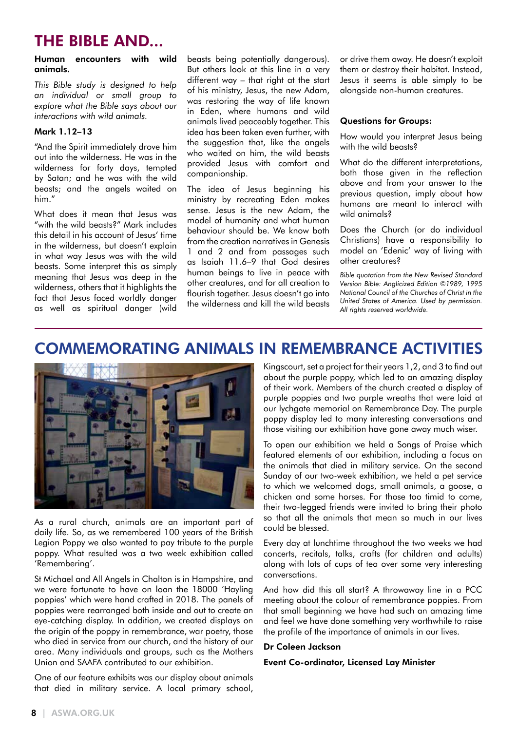### THE BIBLE AND...

#### Human encounters with wild animals.

*This Bible study is designed to help an individual or small group to explore what the Bible says about our interactions with wild animals.*

#### Mark 1.12–13

"And the Spirit immediately drove him out into the wilderness. He was in the wilderness for forty days, tempted by Satan; and he was with the wild beasts; and the angels waited on him."

What does it mean that Jesus was "with the wild beasts?" Mark includes this detail in his account of Jesus' time in the wilderness, but doesn't explain in what way Jesus was with the wild beasts. Some interpret this as simply meaning that Jesus was deep in the wilderness, others that it highlights the fact that Jesus faced worldly danger as well as spiritual danger (wild beasts being potentially dangerous). But others look at this line in a very different way – that right at the start of his ministry, Jesus, the new Adam, was restoring the way of life known in Eden, where humans and wild animals lived peaceably together. This idea has been taken even further, with the suggestion that, like the angels who waited on him, the wild beasts provided Jesus with comfort and companionship.

The idea of Jesus beginning his ministry by recreating Eden makes sense. Jesus is the new Adam, the model of humanity and what human behaviour should be. We know both from the creation narratives in Genesis 1 and 2 and from passages such as Isaiah 11.6–9 that God desires human beings to live in peace with other creatures, and for all creation to flourish together. Jesus doesn't go into the wilderness and kill the wild beasts or drive them away. He doesn't exploit them or destroy their habitat. Instead, Jesus it seems is able simply to be alongside non-human creatures.

### Questions for Groups:

How would you interpret Jesus being with the wild beasts?

What do the different interpretations, both those given in the reflection above and from your answer to the previous question, imply about how humans are meant to interact with wild animals?

Does the Church (or do individual Christians) have a responsibility to model an 'Edenic' way of living with other creatures?

*Bible quotation from the New Revised Standard Version Bible: Anglicized Edition ©1989, 1995 National Council of the Churches of Christ in the United States of America. Used by permission. All rights reserved worldwide.*

### COMMEMORATING ANIMALS IN REMEMBRANCE ACTIVITIES



As a rural church, animals are an important part of daily life. So, as we remembered 100 years of the British Legion Poppy we also wanted to pay tribute to the purple poppy. What resulted was a two week exhibition called 'Remembering'.

St Michael and All Angels in Chalton is in Hampshire, and we were fortunate to have on loan the 18000 'Hayling poppies' which were hand crafted in 2018. The panels of poppies were rearranged both inside and out to create an eye-catching display. In addition, we created displays on the origin of the poppy in remembrance, war poetry, those who died in service from our church, and the history of our area. Many individuals and groups, such as the Mothers Union and SAAFA contributed to our exhibition.

One of our feature exhibits was our display about animals that died in military service. A local primary school, Kingscourt, set a project for their years 1,2, and 3 to find out about the purple poppy, which led to an amazing display of their work. Members of the church created a display of purple poppies and two purple wreaths that were laid at our lychgate memorial on Remembrance Day. The purple poppy display led to many interesting conversations and those visiting our exhibition have gone away much wiser.

To open our exhibition we held a Songs of Praise which featured elements of our exhibition, including a focus on the animals that died in military service. On the second Sunday of our two-week exhibition, we held a pet service to which we welcomed dogs, small animals, a goose, a chicken and some horses. For those too timid to come, their two-legged friends were invited to bring their photo so that all the animals that mean so much in our lives could be blessed.

Every day at lunchtime throughout the two weeks we had concerts, recitals, talks, crafts (for children and adults) along with lots of cups of tea over some very interesting conversations.

And how did this all start? A throwaway line in a PCC meeting about the colour of remembrance poppies. From that small beginning we have had such an amazing time and feel we have done something very worthwhile to raise the profile of the importance of animals in our lives.

### Dr Coleen Jackson

#### Event Co-ordinator, Licensed Lay Minister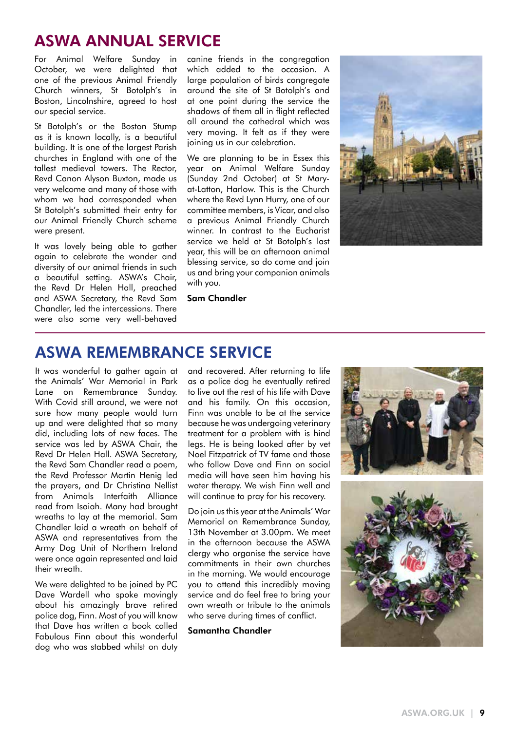### ASWA ANNUAL SERVICE

For Animal Welfare Sunday in October, we were delighted that one of the previous Animal Friendly Church winners, St Botolph's in Boston, Lincolnshire, agreed to host our special service.

St Botolph's or the Boston Stump as it is known locally, is a beautiful building. It is one of the largest Parish churches in England with one of the tallest medieval towers. The Rector, Revd Canon Alyson Buxton, made us very welcome and many of those with whom we had corresponded when St Botolph's submitted their entry for our Animal Friendly Church scheme were present.

It was lovely being able to gather again to celebrate the wonder and diversity of our animal friends in such a beautiful setting. ASWA's Chair, the Revd Dr Helen Hall, preached and ASWA Secretary, the Revd Sam Chandler, led the intercessions. There were also some very well-behaved

canine friends in the congregation which added to the occasion. A large population of birds congregate around the site of St Botolph's and at one point during the service the shadows of them all in flight reflected all around the cathedral which was very moving. It felt as if they were joining us in our celebration.

We are planning to be in Essex this year on Animal Welfare Sunday (Sunday 2nd October) at St Maryat-Latton, Harlow. This is the Church where the Revd Lynn Hurry, one of our committee members, is Vicar, and also a previous Animal Friendly Church winner. In contrast to the Eucharist service we held at St Botolph's last year, this will be an afternoon animal blessing service, so do come and join us and bring your companion animals with you.



#### Sam Chandler

### ASWA REMEMBRANCE SERVICE

It was wonderful to gather again at the Animals' War Memorial in Park Lane on Remembrance Sunday. With Covid still around, we were not sure how many people would turn up and were delighted that so many did, including lots of new faces. The service was led by ASWA Chair, the Revd Dr Helen Hall. ASWA Secretary, the Revd Sam Chandler read a poem, the Revd Professor Martin Henig led the prayers, and Dr Christina Nellist from Animals Interfaith Alliance read from Isaiah. Many had brought wreaths to lay at the memorial. Sam Chandler laid a wreath on behalf of ASWA and representatives from the Army Dog Unit of Northern Ireland were once again represented and laid their wreath.

We were delighted to be joined by PC Dave Wardell who spoke movingly about his amazingly brave retired police dog, Finn. Most of you will know that Dave has written a book called Fabulous Finn about this wonderful dog who was stabbed whilst on duty

and recovered. After returning to life as a police dog he eventually retired to live out the rest of his life with Dave and his family. On this occasion, Finn was unable to be at the service because he was undergoing veterinary treatment for a problem with is hind legs. He is being looked after by vet Noel Fitzpatrick of TV fame and those who follow Dave and Finn on social media will have seen him having his water therapy. We wish Finn well and will continue to pray for his recovery.

Do join us this year at the Animals' War Memorial on Remembrance Sunday, 13th November at 3.00pm. We meet in the afternoon because the ASWA clergy who organise the service have commitments in their own churches in the morning. We would encourage you to attend this incredibly moving service and do feel free to bring your own wreath or tribute to the animals who serve during times of conflict.

### Samantha Chandler

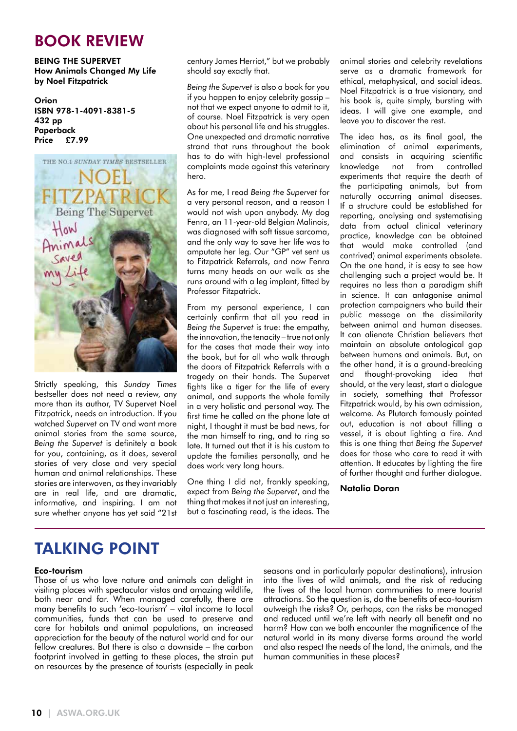### BOOK REVIEW

BEING THE SUPERVET How Animals Changed My Life by Noel Fitzpatrick

Orion ISBN 978-1-4091-8381-5 432 pp Paperback Price £7.99



Strictly speaking, this *Sunday Times* bestseller does not need a review, any more than its author, TV Supervet Noel Fitzpatrick, needs an introduction. If you watched *Supervet* on TV and want more animal stories from the same source, *Being the Supervet* is definitely a book for you, containing, as it does, several stories of very close and very special human and animal relationships. These stories are interwoven, as they invariably are in real life, and are dramatic, informative, and inspiring. I am not sure whether anyone has yet said "21st century James Herriot," but we probably should say exactly that.

*Being the Supervet* is also a book for you if you happen to enjoy celebrity gossip – not that we expect anyone to admit to it, of course. Noel Fitzpatrick is very open about his personal life and his struggles. One unexpected and dramatic narrative strand that runs throughout the book has to do with high-level professional complaints made against this veterinary hero.

As for me, I read *Being the Supervet* for a very personal reason, and a reason I would not wish upon anybody. My dog Fenra, an 11-year-old Belgian Malinois, was diagnosed with soft tissue sarcoma, and the only way to save her life was to amputate her leg. Our "GP" vet sent us to Fitzpatrick Referrals, and now Fenra turns many heads on our walk as she runs around with a leg implant, fitted by Professor Fitzpatrick.

From my personal experience, I can certainly confirm that all you read in *Being the Supervet* is true: the empathy, the innovation, the tenacity – true not only for the cases that made their way into the book, but for all who walk through the doors of Fitzpatrick Referrals with a tragedy on their hands. The Supervet fights like a tiger for the life of every animal, and supports the whole family in a very holistic and personal way. The first time he called on the phone late at night, I thought it must be bad news, for the man himself to ring, and to ring so late. It turned out that it is his custom to update the families personally, and he does work very long hours.

One thing I did not, frankly speaking, expect from *Being the Supervet*, and the thing that makes it not just an interesting, but a fascinating read, is the ideas. The animal stories and celebrity revelations serve as a dramatic framework for ethical, metaphysical, and social ideas. Noel Fitzpatrick is a true visionary, and his book is, quite simply, bursting with ideas. I will give one example, and leave you to discover the rest.

The idea has, as its final goal, the elimination of animal experiments, and consists in acquiring scientific knowledge not from controlled experiments that require the death of the participating animals, but from naturally occurring animal diseases. If a structure could be established for reporting, analysing and systematising data from actual clinical veterinary practice, knowledge can be obtained that would make controlled (and contrived) animal experiments obsolete. On the one hand, it is easy to see how challenging such a project would be. It requires no less than a paradigm shift in science. It can antagonise animal protection campaigners who build their public message on the dissimilarity between animal and human diseases. It can alienate Christian believers that maintain an absolute ontological gap between humans and animals. But, on the other hand, it is a ground-breaking and thought-provoking idea that should, at the very least, start a dialogue in society, something that Professor Fitzpatrick would, by his own admission, welcome. As Plutarch famously pointed out, education is not about filling a vessel, it is about lighting a fire. And this is one thing that *Being the Supervet* does for those who care to read it with attention. It educates by lighting the fire of further thought and further dialogue.

#### Natalia Doran

## TALKING POINT

#### Eco-tourism

Those of us who love nature and animals can delight in visiting places with spectacular vistas and amazing wildlife, both near and far. When managed carefully, there are many benefits to such 'eco-tourism' – vital income to local communities, funds that can be used to preserve and care for habitats and animal populations, an increased appreciation for the beauty of the natural world and for our fellow creatures. But there is also a downside – the carbon footprint involved in getting to these places, the strain put on resources by the presence of tourists (especially in peak

seasons and in particularly popular destinations), intrusion into the lives of wild animals, and the risk of reducing the lives of the local human communities to mere tourist attractions. So the question is, do the benefits of eco-tourism outweigh the risks? Or, perhaps, can the risks be managed and reduced until we're left with nearly all benefit and no harm? How can we both encounter the magnificence of the natural world in its many diverse forms around the world and also respect the needs of the land, the animals, and the human communities in these places?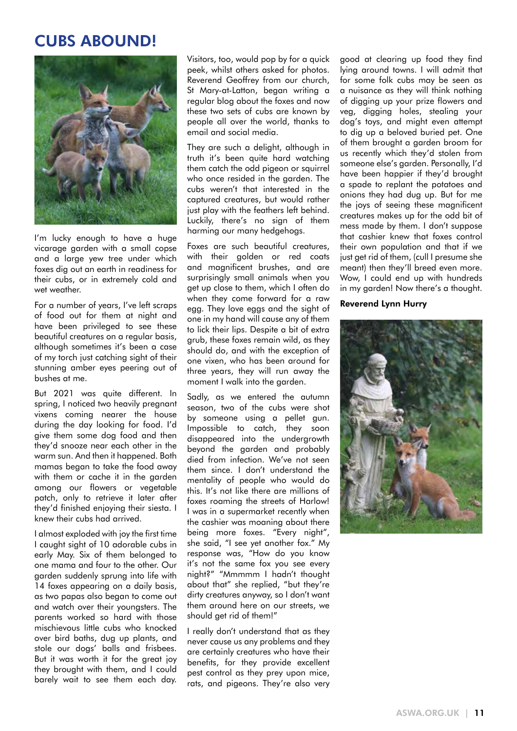### CUBS ABOUND!



I'm lucky enough to have a huge vicarage garden with a small copse and a large yew tree under which foxes dig out an earth in readiness for their cubs, or in extremely cold and wet weather.

For a number of years, I've left scraps of food out for them at night and have been privileged to see these beautiful creatures on a regular basis, although sometimes it's been a case of my torch just catching sight of their stunning amber eyes peering out of bushes at me.

But 2021 was quite different. In spring, I noticed two heavily pregnant vixens coming nearer the house during the day looking for food. I'd give them some dog food and then they'd snooze near each other in the warm sun. And then it happened. Both mamas began to take the food away with them or cache it in the garden among our flowers or vegetable patch, only to retrieve it later after they'd finished enjoying their siesta. I knew their cubs had arrived.

I almost exploded with joy the first time I caught sight of 10 adorable cubs in early May. Six of them belonged to one mama and four to the other. Our garden suddenly sprung into life with 14 foxes appearing on a daily basis, as two papas also began to come out and watch over their youngsters. The parents worked so hard with those mischievous little cubs who knocked over bird baths, dug up plants, and stole our dogs' balls and frisbees. But it was worth it for the great joy they brought with them, and I could barely wait to see them each day.

Visitors, too, would pop by for a quick peek, whilst others asked for photos. Reverend Geoffrey from our church, St Mary-at-Latton, began writing a regular blog about the foxes and now these two sets of cubs are known by people all over the world, thanks to email and social media.

They are such a delight, although in truth it's been quite hard watching them catch the odd pigeon or squirrel who once resided in the garden. The cubs weren't that interested in the captured creatures, but would rather just play with the feathers left behind. Luckily, there's no sign of them harming our many hedgehogs.

Foxes are such beautiful creatures, with their golden or red coats and magnificent brushes, and are surprisingly small animals when you get up close to them, which I often do when they come forward for a raw egg. They love eggs and the sight of one in my hand will cause any of them to lick their lips. Despite a bit of extra grub, these foxes remain wild, as they should do, and with the exception of one vixen, who has been around for three years, they will run away the moment I walk into the garden.

Sadly, as we entered the autumn season, two of the cubs were shot by someone using a pellet gun. Impossible to catch, they soon disappeared into the undergrowth beyond the garden and probably died from infection. We've not seen them since. I don't understand the mentality of people who would do this. It's not like there are millions of foxes roaming the streets of Harlow! I was in a supermarket recently when the cashier was moaning about there being more foxes. "Every night", she said, "I see yet another fox." My response was, "How do you know it's not the same fox you see every night?" "Mmmmm I hadn't thought about that" she replied, "but they're dirty creatures anyway, so I don't want them around here on our streets, we should get rid of them!"

I really don't understand that as they never cause us any problems and they are certainly creatures who have their benefits, for they provide excellent pest control as they prey upon mice, rats, and pigeons. They're also very good at clearing up food they find lying around towns. I will admit that for some folk cubs may be seen as a nuisance as they will think nothing of digging up your prize flowers and veg, digging holes, stealing your dog's toys, and might even attempt to dig up a beloved buried pet. One of them brought a garden broom for us recently which they'd stolen from someone else's garden. Personally, I'd have been happier if they'd brought a spade to replant the potatoes and onions they had dug up. But for me the joys of seeing these magnificent creatures makes up for the odd bit of mess made by them. I don't suppose that cashier knew that foxes control their own population and that if we just get rid of them, (cull I presume she meant) then they'll breed even more. Wow, I could end up with hundreds in my garden! Now there's a thought.

#### Reverend Lynn Hurry

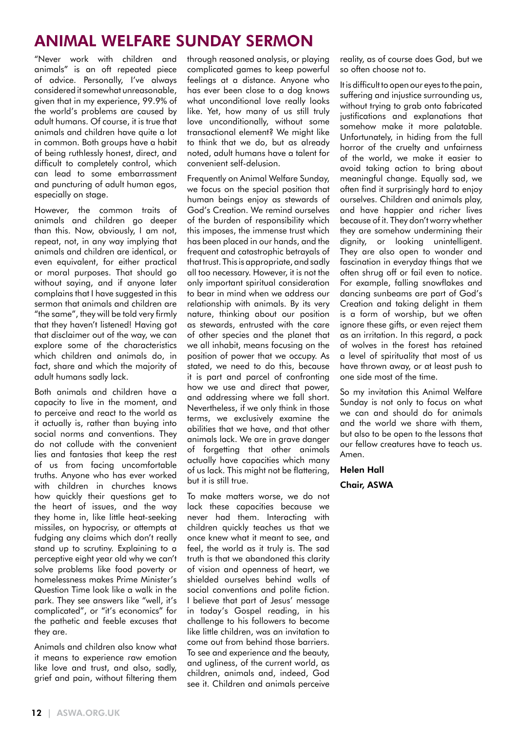## ANIMAL WELFARE SUNDAY SERMON

"Never work with children and animals" is an oft repeated piece of advice. Personally, I've always considered it somewhat unreasonable, given that in my experience, 99.9% of the world's problems are caused by adult humans. Of course, it is true that animals and children have quite a lot in common. Both groups have a habit of being ruthlessly honest, direct, and difficult to completely control, which can lead to some embarrassment and puncturing of adult human egos, especially on stage.

However, the common traits of animals and children go deeper than this. Now, obviously, I am not, repeat, not, in any way implying that animals and children are identical, or even equivalent, for either practical or moral purposes. That should go without saying, and if anyone later complains that I have suggested in this sermon that animals and children are "the same", they will be told very firmly that they haven't listened! Having got that disclaimer out of the way, we can explore some of the characteristics which children and animals do, in fact, share and which the majority of adult humans sadly lack.

Both animals and children have a capacity to live in the moment, and to perceive and react to the world as it actually is, rather than buying into social norms and conventions. They do not collude with the convenient lies and fantasies that keep the rest of us from facing uncomfortable truths. Anyone who has ever worked with children in churches knows how quickly their questions get to the heart of issues, and the way they home in, like little heat-seeking missiles, on hypocrisy, or attempts at fudging any claims which don't really stand up to scrutiny. Explaining to a perceptive eight year old why we can't solve problems like food poverty or homelessness makes Prime Minister's Question Time look like a walk in the park. They see answers like "well, it's complicated", or "it's economics" for the pathetic and feeble excuses that they are.

Animals and children also know what it means to experience raw emotion like love and trust, and also, sadly, grief and pain, without filtering them

through reasoned analysis, or playing complicated games to keep powerful feelings at a distance. Anyone who has ever been close to a dog knows what unconditional love really looks like. Yet, how many of us still truly love unconditionally, without some transactional element? We might like to think that we do, but as already noted, adult humans have a talent for convenient self-delusion.

Frequently on Animal Welfare Sunday, we focus on the special position that human beings enjoy as stewards of God's Creation. We remind ourselves of the burden of responsibility which this imposes, the immense trust which has been placed in our hands, and the frequent and catastrophic betrayals of that trust. This is appropriate, and sadly all too necessary. However, it is not the only important spiritual consideration to bear in mind when we address our relationship with animals. By its very nature, thinking about our position as stewards, entrusted with the care of other species and the planet that we all inhabit, means focusing on the position of power that we occupy. As stated, we need to do this, because it is part and parcel of confronting how we use and direct that power, and addressing where we fall short. Nevertheless, if we only think in those terms, we exclusively examine the abilities that we have, and that other animals lack. We are in grave danger of forgetting that other animals actually have capacities which many of us lack. This might not be flattering, but it is still true.

To make matters worse, we do not lack these capacities because we never had them. Interacting with children quickly teaches us that we once knew what it meant to see, and feel, the world as it truly is. The sad truth is that we abandoned this clarity of vision and openness of heart, we shielded ourselves behind walls of social conventions and polite fiction. I believe that part of Jesus' message in today's Gospel reading, in his challenge to his followers to become like little children, was an invitation to come out from behind those barriers. To see and experience and the beauty, and ugliness, of the current world, as children, animals and, indeed, God see it. Children and animals perceive

reality, as of course does God, but we so often choose not to.

It is difficult to open our eyes to the pain, suffering and injustice surrounding us, without trying to grab onto fabricated justifications and explanations that somehow make it more palatable. Unfortunately, in hiding from the full horror of the cruelty and unfairness of the world, we make it easier to avoid taking action to bring about meaningful change. Equally sad, we often find it surprisingly hard to enjoy ourselves. Children and animals play, and have happier and richer lives because of it. They don't worry whether they are somehow undermining their dignity, or looking unintelligent. They are also open to wonder and fascination in everyday things that we often shrug off or fail even to notice. For example, falling snowflakes and dancing sunbeams are part of God's Creation and taking delight in them is a form of worship, but we often ignore these gifts, or even reject them as an irritation. In this regard, a pack of wolves in the forest has retained a level of spirituality that most of us have thrown away, or at least push to one side most of the time.

So my invitation this Animal Welfare Sunday is not only to focus on what we can and should do for animals and the world we share with them, but also to be open to the lessons that our fellow creatures have to teach us. Amen.

Helen Hall Chair, ASWA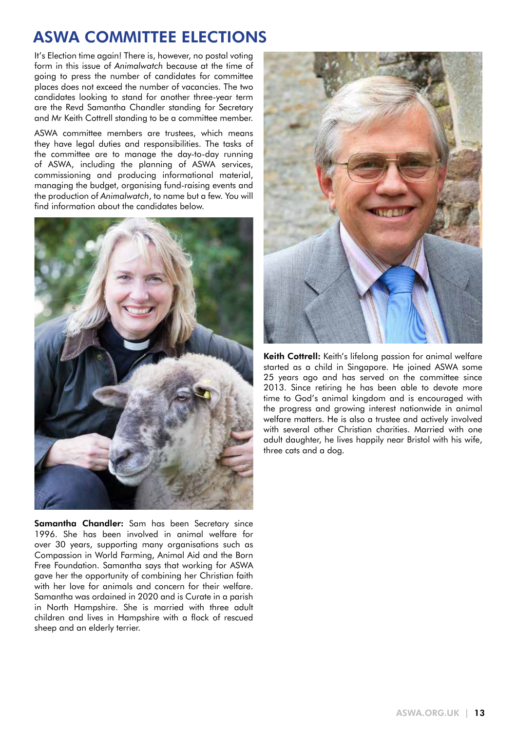### ASWA COMMITTEE ELECTIONS

It's Election time again! There is, however, no postal voting form in this issue of *Animalwatch* because at the time of going to press the number of candidates for committee places does not exceed the number of vacancies. The two candidates looking to stand for another three-year term are the Revd Samantha Chandler standing for Secretary and Mr Keith Cottrell standing to be a committee member.

ASWA committee members are trustees, which means they have legal duties and responsibilities. The tasks of the committee are to manage the day-to-day running of ASWA, including the planning of ASWA services, commissioning and producing informational material, managing the budget, organising fund-raising events and the production of *Animalwatch*, to name but a few. You will find information about the candidates below.



**Samantha Chandler:** Sam has been Secretary since 1996. She has been involved in animal welfare for over 30 years, supporting many organisations such as Compassion in World Farming, Animal Aid and the Born Free Foundation. Samantha says that working for ASWA gave her the opportunity of combining her Christian faith with her love for animals and concern for their welfare. Samantha was ordained in 2020 and is Curate in a parish in North Hampshire. She is married with three adult children and lives in Hampshire with a flock of rescued sheep and an elderly terrier.



Keith Cottrell: Keith's lifelong passion for animal welfare started as a child in Singapore. He joined ASWA some 25 years ago and has served on the committee since 2013. Since retiring he has been able to devote more time to God's animal kingdom and is encouraged with the progress and growing interest nationwide in animal welfare matters. He is also a trustee and actively involved with several other Christian charities. Married with one adult daughter, he lives happily near Bristol with his wife, three cats and a dog.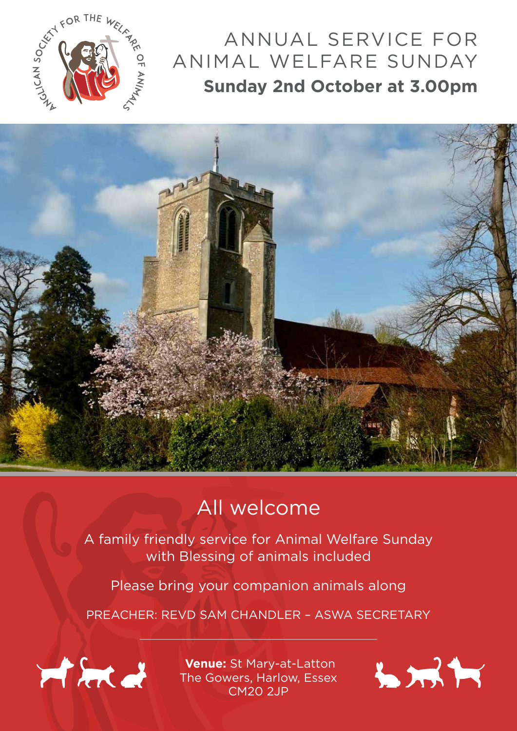

## ANNUAL SERVICE FOR ANIMAL WELFARE SUNDAY **Sunday 2nd October at 3.00pm**



## All welcome

A family friendly service for Animal Welfare Sunday with Blessing of animals included

Please bring your companion animals along

PREACHER: REVD SAM CHANDLER – ASWA SECRETARY



 **Venue:** St Mary-at-Latton The Gowers, Harlow, Essex CM20 2JP

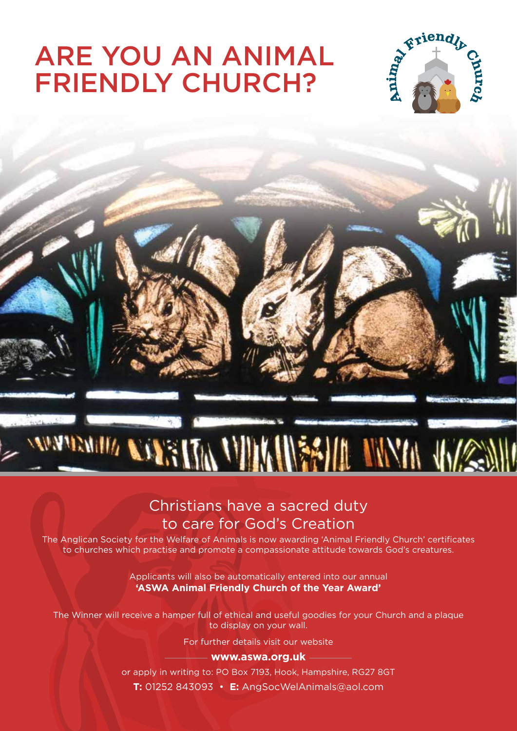# ARE YOU AN ANIMAL FRIENDLY CHURCH?





### Christians have a sacred duty to care for God's Creation

The Anglican Society for the Welfare of Animals is now awarding 'Animal Friendly Church' certificates to churches which practise and promote a compassionate attitude towards God's creatures.

> Applicants will also be automatically entered into our annual **'ASWA Animal Friendly Church of the Year Award'**

The Winner will receive a hamper full of ethical and useful goodies for your Church and a plaque to display on your wall.

For further details visit our website

### **www.aswa.org.uk**

or apply in writing to: PO Box 7193, Hook, Hampshire, RG27 8GT **T:** 01252 843093 • **E:** AngSocWelAnimals@aol.com